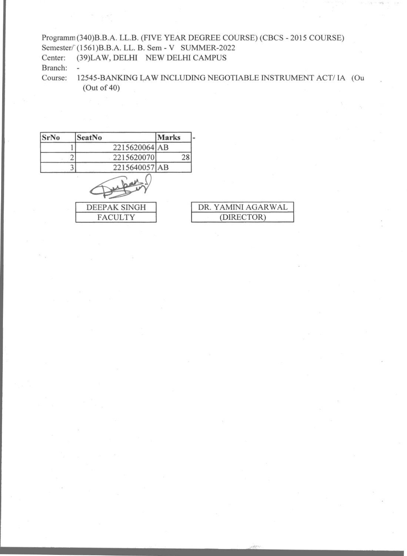## Programm (340)B.B.A. LL.B. (FIVE YEAR DEGREE COURSE) (CBCS -2015 COURSE) Semester/<sup>'</sup> (1561)B.B.A. LL. B. Sem - V SUMMER-2022<br>Center: (39)LAW, DELHI NEW DELHI CAMPUS (39)LAW, DELHI NEW DELHI CAMPUS Branch:<br>Course:  $\overline{\phantom{a}}$ 12545-BANKING LAW INCLUDING NEGOTIABLE INSTRUMENT ACT/ IA (Ou

(Out of 40)

| <b>SrNo</b> | SeatNo              | <b>Marks</b> |                    |
|-------------|---------------------|--------------|--------------------|
|             | 2215620064 AB       |              |                    |
|             | 2215620070          | 28           |                    |
|             | 2215640057 AB       |              |                    |
|             |                     |              |                    |
|             | <b>DEEPAK SINGH</b> |              | DR. YAMINI AGARWAL |
|             | <b>FACULTY</b>      |              | (DIRECTOR)         |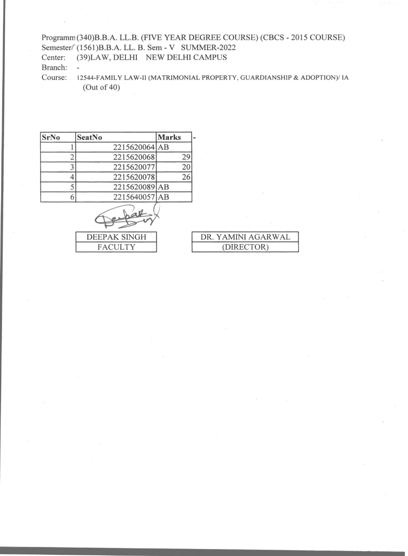## Programm (340)B.B.A. LL.B. (FIVE YEAR DEGREE COURSE) (CBCS - 2015 COURSE) Semester/ (1561)B.B.A. LL. B. Sem - V SUMMER-2022

Center: (39)LAW, DELHI NEW DELHI CAMPUS  $\overline{a}$ 

Branch:

Course: 12544-FAMILY LAW-II (MATRIMONIAL PROPERTY, GUARDIANSHIP & ADOPTION)/ IA (Out of 40)

| <b>SrNo</b> | <b>SeatNo</b> | <b>Marks</b> |
|-------------|---------------|--------------|
|             | 2215620064 AB |              |
|             | 2215620068    | 29           |
|             | 2215620077    | 20           |
|             | 2215620078    | 26           |
|             | 2215620089 AB |              |
|             | 2215640057 AB |              |

DEEPAK SINGH **FACULTY** 

| DR. YAMINI AGARWAL |
|--------------------|
| (DIRECTOR)         |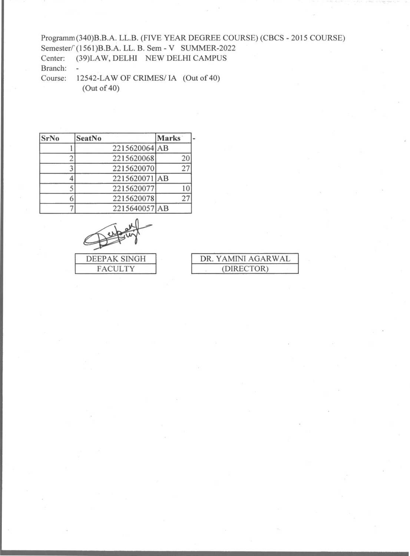## Programm (340)B.B.A. LL.B. (FIVE YEAR DEGREE COURSE) (CBCS - 2015 COURSE) Semester/' (1561)B.B.A. LL. B. Sem - V SUMMER-2022<br>Center: (39)LAW, DELHI NEW DELHI CAMPUS (39)LAW, DELHI NEW DELHI CAMPUS Branch:<br>Course: ÷ 12542-LAW OF CRIMES/ IA (Out of 40)

(Out of 40)

| <b>SrNo</b> | <b>SeatNo</b> | <b>Marks</b> |
|-------------|---------------|--------------|
|             | 2215620064 AB |              |
|             | 2215620068    | 20           |
|             | 2215620070    | 27           |
|             | 2215620071 AB |              |
|             | 2215620077    |              |
|             | 2215620078    | 27           |
|             | 2215640057 AB |              |



| DR. YAMINI AGARWAL |
|--------------------|
| (DIRECTOR)         |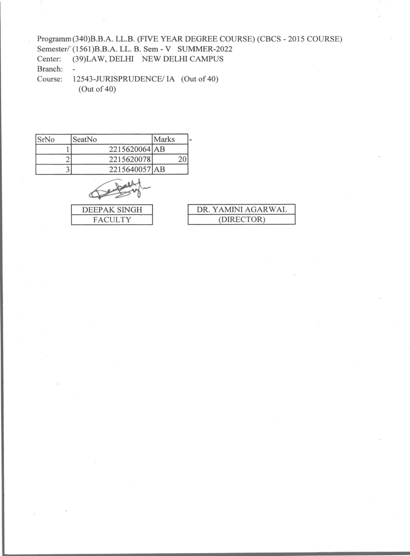Programm(340)B.B.A. LL.B. (FIVE YEAR DEGREE COURSE) (CBCS - 2015 COURSE) Semester/ (1561)B.B.A. LL. B. Sem - V SUMMER-2022 Center: (39)LAW, DELHI NEW DELHI CAMPUS Branch:  $\omega$ Course: 12543-JURISPRUDENCE/ IA (Out of 40)

(Out of 40)

| SrNo | SeatNo        | Marks |
|------|---------------|-------|
|      | 2215620064 AB |       |
|      | 2215620078    |       |
|      | 2215640057 AB |       |

DEEPAK SINGH **FACULTY** 

| DR. YAMINI AGARWAL |  |
|--------------------|--|
| (DIRECTOR)         |  |